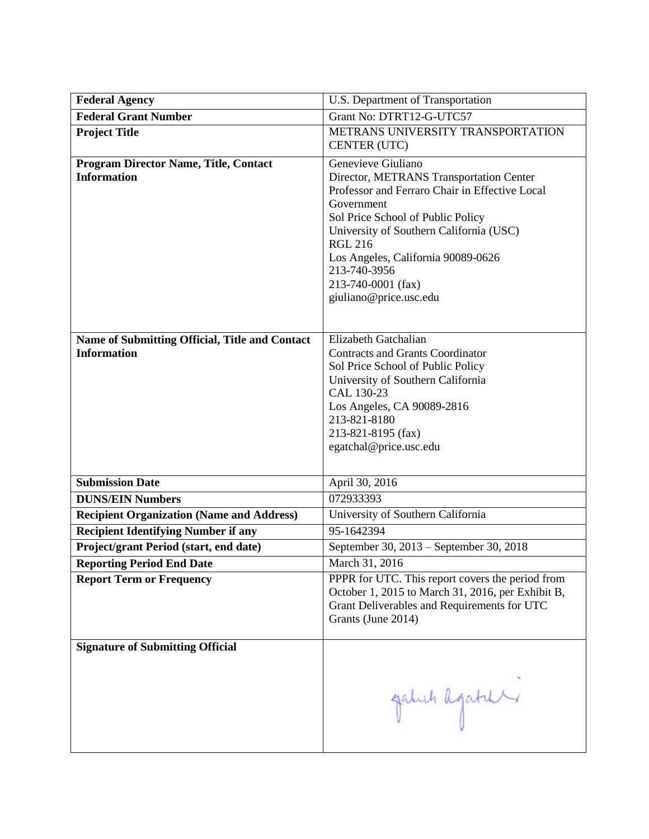| <b>Federal Agency</b>                                                | U.S. Department of Transportation                                                                                                                                                                                                                                                                                                     |  |
|----------------------------------------------------------------------|---------------------------------------------------------------------------------------------------------------------------------------------------------------------------------------------------------------------------------------------------------------------------------------------------------------------------------------|--|
| <b>Federal Grant Number</b>                                          | Grant No: DTRT12-G-UTC57                                                                                                                                                                                                                                                                                                              |  |
| <b>Project Title</b>                                                 | METRANS UNIVERSITY TRANSPORTATION<br>CENTER (UTC)                                                                                                                                                                                                                                                                                     |  |
| <b>Program Director Name, Title, Contact</b><br><b>Information</b>   | Genevieve Giuliano<br>Director, METRANS Transportation Center<br>Professor and Ferraro Chair in Effective Local<br>Government<br>Sol Price School of Public Policy<br>University of Southern California (USC)<br><b>RGL 216</b><br>Los Angeles, California 90089-0626<br>213-740-3956<br>213-740-0001 (fax)<br>giuliano@price.usc.edu |  |
| Name of Submitting Official, Title and Contact<br><b>Information</b> | Elizabeth Gatchalian<br><b>Contracts and Grants Coordinator</b><br>Sol Price School of Public Policy<br>University of Southern California<br>CAL 130-23<br>Los Angeles, CA 90089-2816<br>213-821-8180<br>213-821-8195 (fax)<br>egatchal@price.usc.edu                                                                                 |  |
| <b>Submission Date</b>                                               | April 30, 2016                                                                                                                                                                                                                                                                                                                        |  |
| <b>DUNS/EIN Numbers</b>                                              | 072933393                                                                                                                                                                                                                                                                                                                             |  |
| <b>Recipient Organization (Name and Address)</b>                     | University of Southern California                                                                                                                                                                                                                                                                                                     |  |
| <b>Recipient Identifying Number if any</b>                           | 95-1642394                                                                                                                                                                                                                                                                                                                            |  |
| Project/grant Period (start, end date)                               | September 30, 2013 – September 30, 2018                                                                                                                                                                                                                                                                                               |  |
| <b>Reporting Period End Date</b>                                     | March 31, 2016                                                                                                                                                                                                                                                                                                                        |  |
| <b>Report Term or Frequency</b>                                      | PPPR for UTC. This report covers the period from<br>October 1, 2015 to March 31, 2016, per Exhibit B,<br>Grant Deliverables and Requirements for UTC<br>Grants (June 2014)                                                                                                                                                            |  |
| <b>Signature of Submitting Official</b>                              | gatuch agatur                                                                                                                                                                                                                                                                                                                         |  |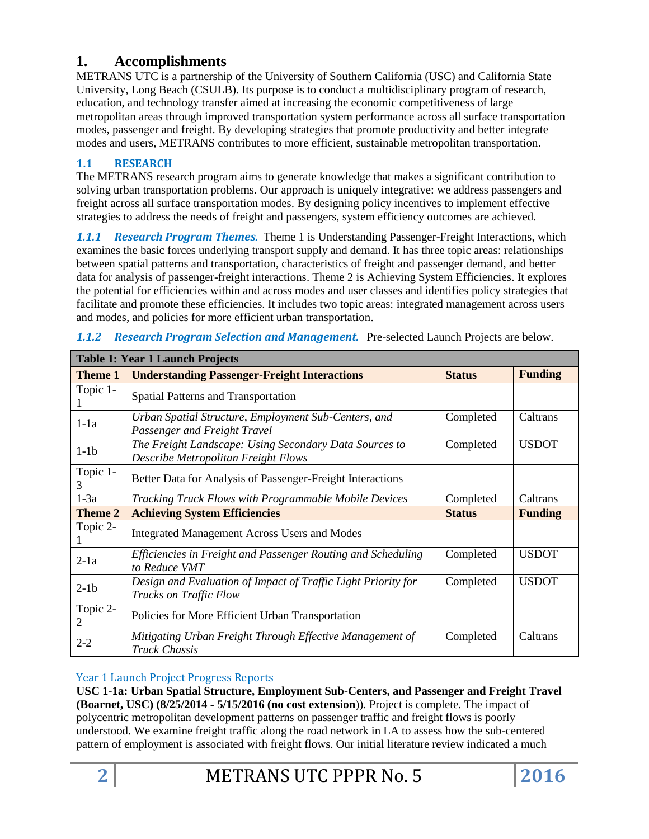# **1. Accomplishments**

METRANS UTC is a partnership of the University of Southern California (USC) and California State University, Long Beach (CSULB). Its purpose is to conduct a multidisciplinary program of research, education, and technology transfer aimed at increasing the economic competitiveness of large metropolitan areas through improved transportation system performance across all surface transportation modes, passenger and freight. By developing strategies that promote productivity and better integrate modes and users, METRANS contributes to more efficient, sustainable metropolitan transportation.

# **1.1 RESEARCH**

The METRANS research program aims to generate knowledge that makes a significant contribution to solving urban transportation problems. Our approach is uniquely integrative: we address passengers and freight across all surface transportation modes. By designing policy incentives to implement effective strategies to address the needs of freight and passengers, system efficiency outcomes are achieved.

*1.1.1 Research Program Themes.* Theme 1 is Understanding Passenger-Freight Interactions, which examines the basic forces underlying transport supply and demand. It has three topic areas: relationships between spatial patterns and transportation, characteristics of freight and passenger demand, and better data for analysis of passenger-freight interactions. Theme 2 is Achieving System Efficiencies. It explores the potential for efficiencies within and across modes and user classes and identifies policy strategies that facilitate and promote these efficiencies. It includes two topic areas: integrated management across users and modes, and policies for more efficient urban transportation.

| <b>Table 1: Year 1 Launch Projects</b> |                                                                                                      |           |              |  |
|----------------------------------------|------------------------------------------------------------------------------------------------------|-----------|--------------|--|
| Theme 1                                | <b>Funding</b><br><b>Understanding Passenger-Freight Interactions</b><br><b>Status</b>               |           |              |  |
| Topic 1-                               | Spatial Patterns and Transportation                                                                  |           |              |  |
| $1-1a$                                 | Urban Spatial Structure, Employment Sub-Centers, and<br>Passenger and Freight Travel                 | Completed | Caltrans     |  |
| $1-1b$                                 | The Freight Landscape: Using Secondary Data Sources to<br>Describe Metropolitan Freight Flows        | Completed | <b>USDOT</b> |  |
| Topic 1-<br>3                          | Better Data for Analysis of Passenger-Freight Interactions                                           |           |              |  |
| $1-3a$                                 | Tracking Truck Flows with Programmable Mobile Devices<br>Completed<br>Caltrans                       |           |              |  |
| Theme 2                                | <b>Achieving System Efficiencies</b><br><b>Status</b><br><b>Funding</b>                              |           |              |  |
| Topic 2-<br>1                          | <b>Integrated Management Across Users and Modes</b>                                                  |           |              |  |
| $2-1a$                                 | Completed<br>Efficiencies in Freight and Passenger Routing and Scheduling<br>to Reduce VMT           |           | <b>USDOT</b> |  |
| $2-1b$                                 | Design and Evaluation of Impact of Traffic Light Priority for<br>Completed<br>Trucks on Traffic Flow |           | <b>USDOT</b> |  |
| Topic 2-<br>2                          | Policies for More Efficient Urban Transportation                                                     |           |              |  |
| $2 - 2$                                | Mitigating Urban Freight Through Effective Management of<br>Caltrans<br>Completed<br>Truck Chassis   |           |              |  |

*1.1.2 Research Program Selection and Management.* Pre-selected Launch Projects are below.

## Year 1 Launch Project Progress Reports

**USC 1-1a: Urban Spatial Structure, Employment Sub-Centers, and Passenger and Freight Travel (Boarnet, USC) (8/25/2014 - 5/15/2016 (no cost extension**)). Project is complete. The impact of polycentric metropolitan development patterns on passenger traffic and freight flows is poorly understood. We examine freight traffic along the road network in LA to assess how the sub-centered pattern of employment is associated with freight flows. Our initial literature review indicated a much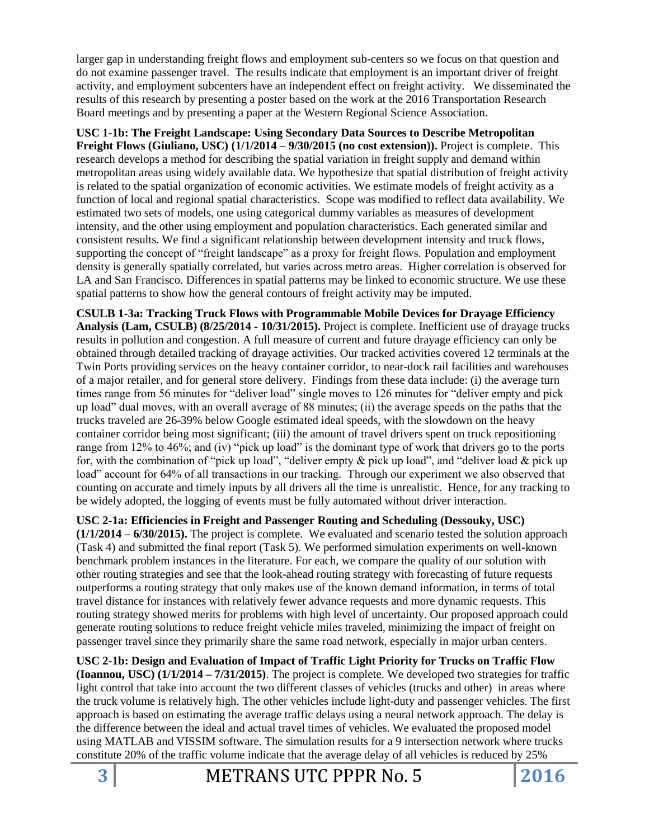larger gap in understanding freight flows and employment sub-centers so we focus on that question and do not examine passenger travel. The results indicate that employment is an important driver of freight activity, and employment subcenters have an independent effect on freight activity. We disseminated the results of this research by presenting a poster based on the work at the 2016 Transportation Research Board meetings and by presenting a paper at the Western Regional Science Association.

**USC 1-1b: The Freight Landscape: Using Secondary Data Sources to Describe Metropolitan Freight Flows (Giuliano, USC) (1/1/2014 – 9/30/2015 (no cost extension)).** Project is complete. This research develops a method for describing the spatial variation in freight supply and demand within metropolitan areas using widely available data. We hypothesize that spatial distribution of freight activity is related to the spatial organization of economic activities. We estimate models of freight activity as a function of local and regional spatial characteristics. Scope was modified to reflect data availability. We estimated two sets of models, one using categorical dummy variables as measures of development intensity, and the other using employment and population characteristics. Each generated similar and consistent results. We find a significant relationship between development intensity and truck flows, supporting the concept of "freight landscape" as a proxy for freight flows. Population and employment density is generally spatially correlated, but varies across metro areas. Higher correlation is observed for LA and San Francisco. Differences in spatial patterns may be linked to economic structure. We use these spatial patterns to show how the general contours of freight activity may be imputed.

**CSULB 1-3a: Tracking Truck Flows with Programmable Mobile Devices for Drayage Efficiency Analysis (Lam, CSULB) (8/25/2014 - 10/31/2015).** Project is complete. Inefficient use of drayage trucks results in pollution and congestion. A full measure of current and future drayage efficiency can only be obtained through detailed tracking of drayage activities. Our tracked activities covered 12 terminals at the Twin Ports providing services on the heavy container corridor, to near-dock rail facilities and warehouses of a major retailer, and for general store delivery. Findings from these data include: (i) the average turn times range from 56 minutes for "deliver load" single moves to 126 minutes for "deliver empty and pick up load" dual moves, with an overall average of 88 minutes; (ii) the average speeds on the paths that the trucks traveled are 26-39% below Google estimated ideal speeds, with the slowdown on the heavy container corridor being most significant; (iii) the amount of travel drivers spent on truck repositioning range from 12% to 46%; and (iv) "pick up load" is the dominant type of work that drivers go to the ports for, with the combination of "pick up load", "deliver empty  $\&$  pick up load", and "deliver load  $\&$  pick up load" account for 64% of all transactions in our tracking. Through our experiment we also observed that counting on accurate and timely inputs by all drivers all the time is unrealistic. Hence, for any tracking to be widely adopted, the logging of events must be fully automated without driver interaction.

**USC 2-1a: Efficiencies in Freight and Passenger Routing and Scheduling (Dessouky, USC) (1/1/2014 – 6/30/2015).** The project is complete. We evaluated and scenario tested the solution approach (Task 4) and submitted the final report (Task 5). We performed simulation experiments on well-known benchmark problem instances in the literature. For each, we compare the quality of our solution with other routing strategies and see that the look-ahead routing strategy with forecasting of future requests outperforms a routing strategy that only makes use of the known demand information, in terms of total travel distance for instances with relatively fewer advance requests and more dynamic requests. This routing strategy showed merits for problems with high level of uncertainty. Our proposed approach could generate routing solutions to reduce freight vehicle miles traveled, minimizing the impact of freight on passenger travel since they primarily share the same road network, especially in major urban centers.

**USC 2-1b: Design and Evaluation of Impact of Traffic Light Priority for Trucks on Traffic Flow (Ioannou, USC) (1/1/2014 – 7/31/2015)**. The project is complete. We developed two strategies for traffic light control that take into account the two different classes of vehicles (trucks and other) in areas where the truck volume is relatively high. The other vehicles include light-duty and passenger vehicles. The first approach is based on estimating the average traffic delays using a neural network approach. The delay is the difference between the ideal and actual travel times of vehicles. We evaluated the proposed model using MATLAB and VISSIM software. The simulation results for a 9 intersection network where trucks constitute 20% of the traffic volume indicate that the average delay of all vehicles is reduced by 25%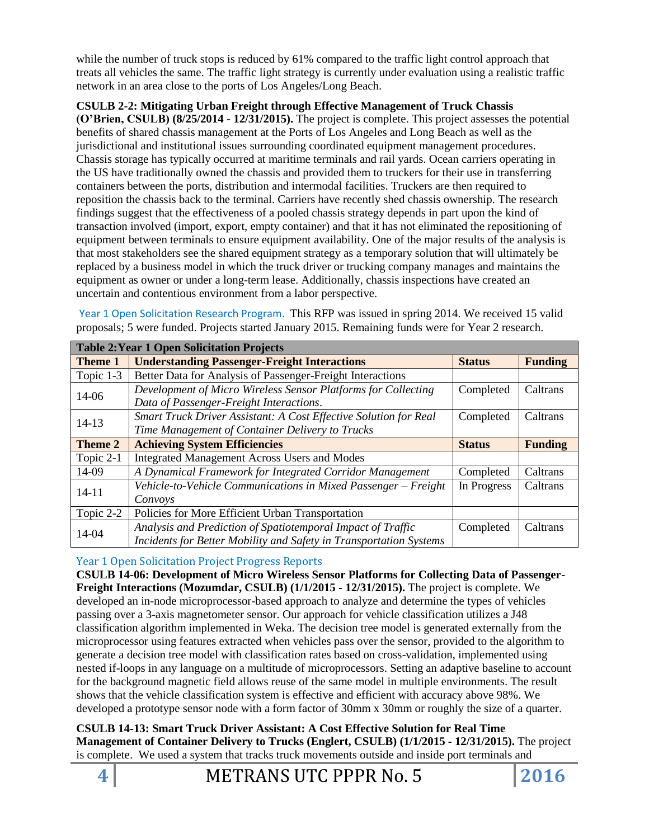while the number of truck stops is reduced by 61% compared to the traffic light control approach that treats all vehicles the same. The traffic light strategy is currently under evaluation using a realistic traffic network in an area close to the ports of Los Angeles/Long Beach.

**CSULB 2-2: Mitigating Urban Freight through Effective Management of Truck Chassis (O'Brien, CSULB) (8/25/2014 - 12/31/2015).** The project is complete. This project assesses the potential benefits of shared chassis management at the Ports of Los Angeles and Long Beach as well as the jurisdictional and institutional issues surrounding coordinated equipment management procedures. Chassis storage has typically occurred at maritime terminals and rail yards. Ocean carriers operating in the US have traditionally owned the chassis and provided them to truckers for their use in transferring containers between the ports, distribution and intermodal facilities. Truckers are then required to reposition the chassis back to the terminal. Carriers have recently shed chassis ownership. The research findings suggest that the effectiveness of a pooled chassis strategy depends in part upon the kind of transaction involved (import, export, empty container) and that it has not eliminated the repositioning of equipment between terminals to ensure equipment availability. One of the major results of the analysis is that most stakeholders see the shared equipment strategy as a temporary solution that will ultimately be replaced by a business model in which the truck driver or trucking company manages and maintains the equipment as owner or under a long-term lease. Additionally, chassis inspections have created an uncertain and contentious environment from a labor perspective.

Year 1 Open Solicitation Research Program. This RFP was issued in spring 2014. We received 15 valid proposals; 5 were funded. Projects started January 2015. Remaining funds were for Year 2 research.

| <b>Table 2: Year 1 Open Solicitation Projects</b>                                  |                                                                                                                                              |               |                |
|------------------------------------------------------------------------------------|----------------------------------------------------------------------------------------------------------------------------------------------|---------------|----------------|
| Theme 1                                                                            | <b>Understanding Passenger-Freight Interactions</b>                                                                                          | <b>Status</b> | <b>Funding</b> |
| Topic 1-3                                                                          | Better Data for Analysis of Passenger-Freight Interactions                                                                                   |               |                |
| 14-06                                                                              | Development of Micro Wireless Sensor Platforms for Collecting<br>Completed<br>Data of Passenger-Freight Interactions.                        |               | Caltrans       |
| $14 - 13$                                                                          | Smart Truck Driver Assistant: A Cost Effective Solution for Real<br>Caltrans<br>Completed<br>Time Management of Container Delivery to Trucks |               |                |
| Theme 2                                                                            | <b>Achieving System Efficiencies</b>                                                                                                         | <b>Status</b> | <b>Funding</b> |
| Topic 2-1                                                                          | <b>Integrated Management Across Users and Modes</b>                                                                                          |               |                |
| 14-09                                                                              | A Dynamical Framework for Integrated Corridor Management<br>Completed                                                                        |               | Caltrans       |
| Vehicle-to-Vehicle Communications in Mixed Passenger - Freight<br>14-11<br>Convoys |                                                                                                                                              | In Progress   | Caltrans       |
| Topic 2-2                                                                          | Policies for More Efficient Urban Transportation                                                                                             |               |                |
| 14-04                                                                              | Analysis and Prediction of Spatiotemporal Impact of Traffic<br>Incidents for Better Mobility and Safety in Transportation Systems            | Completed     | Caltrans       |

### Year 1 Open Solicitation Project Progress Reports

**CSULB 14-06: Development of Micro Wireless Sensor Platforms for Collecting Data of Passenger-Freight Interactions (Mozumdar, CSULB) (1/1/2015 - 12/31/2015).** The project is complete. We developed an in-node microprocessor-based approach to analyze and determine the types of vehicles passing over a 3-axis magnetometer sensor. Our approach for vehicle classification utilizes a J48 classification algorithm implemented in Weka. The decision tree model is generated externally from the microprocessor using features extracted when vehicles pass over the sensor, provided to the algorithm to generate a decision tree model with classification rates based on cross-validation, implemented using nested if-loops in any language on a multitude of microprocessors. Setting an adaptive baseline to account for the background magnetic field allows reuse of the same model in multiple environments. The result shows that the vehicle classification system is effective and efficient with accuracy above 98%. We developed a prototype sensor node with a form factor of 30mm x 30mm or roughly the size of a quarter.

**CSULB 14-13: Smart Truck Driver Assistant: A Cost Effective Solution for Real Time Management of Container Delivery to Trucks (Englert, CSULB) (1/1/2015 - 12/31/2015).** The project is complete. We used a system that tracks truck movements outside and inside port terminals and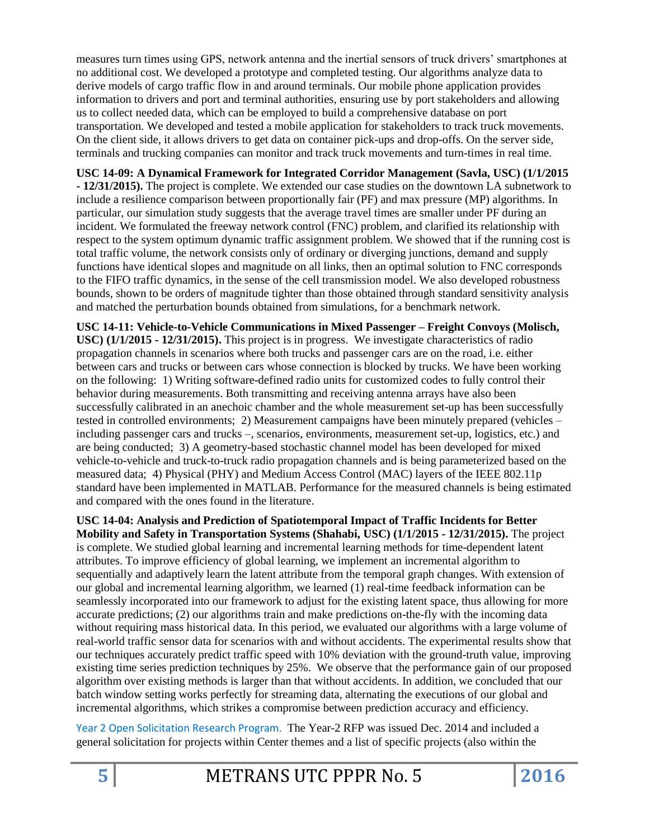measures turn times using GPS, network antenna and the inertial sensors of truck drivers' smartphones at no additional cost. We developed a prototype and completed testing. Our algorithms analyze data to derive models of cargo traffic flow in and around terminals. Our mobile phone application provides information to drivers and port and terminal authorities, ensuring use by port stakeholders and allowing us to collect needed data, which can be employed to build a comprehensive database on port transportation. We developed and tested a mobile application for stakeholders to track truck movements. On the client side, it allows drivers to get data on container pick-ups and drop-offs. On the server side, terminals and trucking companies can monitor and track truck movements and turn-times in real time.

**USC 14-09: A Dynamical Framework for Integrated Corridor Management (Savla, USC) (1/1/2015 - 12/31/2015).** The project is complete. We extended our case studies on the downtown LA subnetwork to include a resilience comparison between proportionally fair (PF) and max pressure (MP) algorithms. In particular, our simulation study suggests that the average travel times are smaller under PF during an incident. We formulated the freeway network control (FNC) problem, and clarified its relationship with respect to the system optimum dynamic traffic assignment problem. We showed that if the running cost is total traffic volume, the network consists only of ordinary or diverging junctions, demand and supply functions have identical slopes and magnitude on all links, then an optimal solution to FNC corresponds to the FIFO traffic dynamics, in the sense of the cell transmission model. We also developed robustness bounds, shown to be orders of magnitude tighter than those obtained through standard sensitivity analysis and matched the perturbation bounds obtained from simulations, for a benchmark network.

**USC 14-11: Vehicle-to-Vehicle Communications in Mixed Passenger – Freight Convoys (Molisch, USC) (1/1/2015 - 12/31/2015).** This project is in progress.We investigate characteristics of radio propagation channels in scenarios where both trucks and passenger cars are on the road, i.e. either between cars and trucks or between cars whose connection is blocked by trucks. We have been working on the following: 1) Writing software-defined radio units for customized codes to fully control their behavior during measurements. Both transmitting and receiving antenna arrays have also been successfully calibrated in an anechoic chamber and the whole measurement set-up has been successfully tested in controlled environments; 2) Measurement campaigns have been minutely prepared (vehicles – including passenger cars and trucks –, scenarios, environments, measurement set-up, logistics, etc.) and are being conducted; 3) A geometry-based stochastic channel model has been developed for mixed vehicle-to-vehicle and truck-to-truck radio propagation channels and is being parameterized based on the measured data; 4) Physical (PHY) and Medium Access Control (MAC) layers of the IEEE 802.11p standard have been implemented in MATLAB. Performance for the measured channels is being estimated and compared with the ones found in the literature.

**USC 14-04: Analysis and Prediction of Spatiotemporal Impact of Traffic Incidents for Better Mobility and Safety in Transportation Systems (Shahabi, USC) (1/1/2015 - 12/31/2015).** The project is complete. We studied global learning and incremental learning methods for time-dependent latent attributes. To improve efficiency of global learning, we implement an incremental algorithm to sequentially and adaptively learn the latent attribute from the temporal graph changes. With extension of our global and incremental learning algorithm, we learned (1) real-time feedback information can be seamlessly incorporated into our framework to adjust for the existing latent space, thus allowing for more accurate predictions; (2) our algorithms train and make predictions on-the-fly with the incoming data without requiring mass historical data. In this period, we evaluated our algorithms with a large volume of real-world traffic sensor data for scenarios with and without accidents. The experimental results show that our techniques accurately predict traffic speed with 10% deviation with the ground-truth value, improving existing time series prediction techniques by 25%. We observe that the performance gain of our proposed algorithm over existing methods is larger than that without accidents. In addition, we concluded that our batch window setting works perfectly for streaming data, alternating the executions of our global and incremental algorithms, which strikes a compromise between prediction accuracy and efficiency.

Year 2 Open Solicitation Research Program. The Year-2 RFP was issued Dec. 2014 and included a general solicitation for projects within Center themes and a list of specific projects (also within the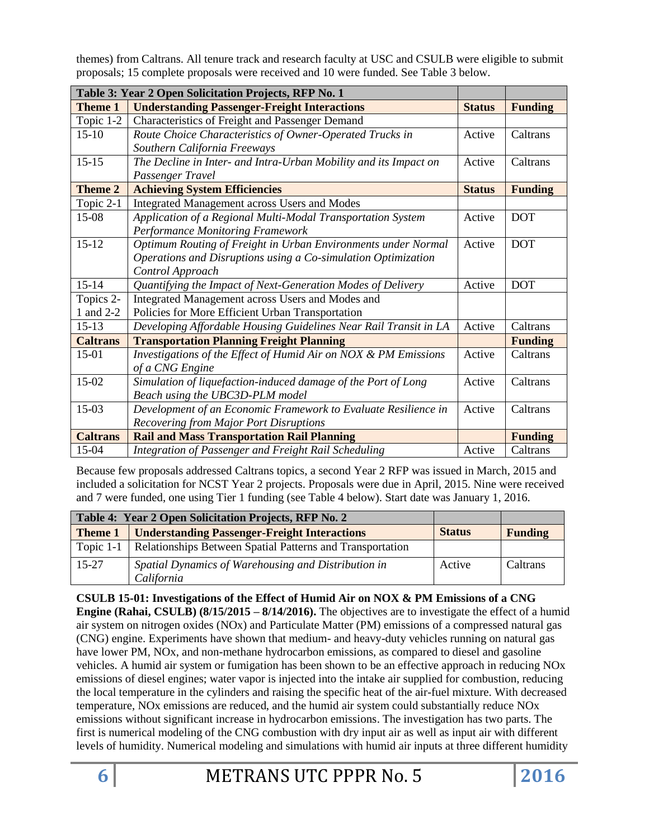themes) from Caltrans. All tenure track and research faculty at USC and CSULB were eligible to submit proposals; 15 complete proposals were received and 10 were funded. See Table 3 below.

| Table 3: Year 2 Open Solicitation Projects, RFP No. 1 |                                                                            |               |                |  |
|-------------------------------------------------------|----------------------------------------------------------------------------|---------------|----------------|--|
| <b>Theme 1</b>                                        | <b>Understanding Passenger-Freight Interactions</b>                        | <b>Status</b> | <b>Funding</b> |  |
| Topic 1-2                                             | Characteristics of Freight and Passenger Demand                            |               |                |  |
| $15-10$                                               | Route Choice Characteristics of Owner-Operated Trucks in                   | Active        | Caltrans       |  |
|                                                       | Southern California Freeways                                               |               |                |  |
| $15 - 15$                                             | The Decline in Inter- and Intra-Urban Mobility and its Impact on           | Active        | Caltrans       |  |
|                                                       | Passenger Travel                                                           |               |                |  |
| <b>Theme 2</b>                                        | <b>Achieving System Efficiencies</b>                                       | <b>Status</b> | <b>Funding</b> |  |
| Topic 2-1                                             | Integrated Management across Users and Modes                               |               |                |  |
| 15-08                                                 | Application of a Regional Multi-Modal Transportation System                | Active        | <b>DOT</b>     |  |
|                                                       | <b>Performance Monitoring Framework</b>                                    |               |                |  |
| $15 - 12$                                             | Optimum Routing of Freight in Urban Environments under Normal              | Active        | <b>DOT</b>     |  |
|                                                       | Operations and Disruptions using a Co-simulation Optimization              |               |                |  |
|                                                       | Control Approach                                                           |               |                |  |
| $15 - 14$                                             | Quantifying the Impact of Next-Generation Modes of Delivery                | Active        | <b>DOT</b>     |  |
| Topics 2-                                             | Integrated Management across Users and Modes and                           |               |                |  |
| 1 and 2-2                                             | Policies for More Efficient Urban Transportation                           |               |                |  |
| $15-13$                                               | Active<br>Developing Affordable Housing Guidelines Near Rail Transit in LA |               | Caltrans       |  |
| <b>Caltrans</b>                                       | <b>Transportation Planning Freight Planning</b>                            |               | <b>Funding</b> |  |
| $15-01$                                               | Investigations of the Effect of Humid Air on NOX & PM Emissions            | Active        | Caltrans       |  |
|                                                       | of a CNG Engine                                                            |               |                |  |
| 15-02                                                 | Simulation of liquefaction-induced damage of the Port of Long              | Active        | Caltrans       |  |
|                                                       | Beach using the UBC3D-PLM model                                            |               |                |  |
| 15-03                                                 | Development of an Economic Framework to Evaluate Resilience in             | Active        | Caltrans       |  |
|                                                       | <b>Recovering from Major Port Disruptions</b>                              |               |                |  |
| <b>Caltrans</b>                                       | <b>Rail and Mass Transportation Rail Planning</b>                          |               | <b>Funding</b> |  |
| 15-04                                                 | Integration of Passenger and Freight Rail Scheduling                       | Active        | Caltrans       |  |

Because few proposals addressed Caltrans topics, a second Year 2 RFP was issued in March, 2015 and included a solicitation for NCST Year 2 projects. Proposals were due in April, 2015. Nine were received and 7 were funded, one using Tier 1 funding (see Table 4 below). Start date was January 1, 2016.

| Table 4: Year 2 Open Solicitation Projects, RFP No. 2 |                                                           |               |                |
|-------------------------------------------------------|-----------------------------------------------------------|---------------|----------------|
| <b>Theme 1</b>                                        | <b>Understanding Passenger-Freight Interactions</b>       | <b>Status</b> | <b>Funding</b> |
| Topic $1-1$                                           | Relationships Between Spatial Patterns and Transportation |               |                |
| $15 - 27$                                             | Spatial Dynamics of Warehousing and Distribution in       | Active        | Caltrans       |
|                                                       | California                                                |               |                |

**CSULB 15-01: Investigations of the Effect of Humid Air on NOX & PM Emissions of a CNG Engine (Rahai, CSULB) (8/15/2015 – 8/14/2016).** The objectives are to investigate the effect of a humid air system on nitrogen oxides (NOx) and Particulate Matter (PM) emissions of a compressed natural gas (CNG) engine. Experiments have shown that medium- and heavy-duty vehicles running on natural gas have lower PM, NOx, and non-methane hydrocarbon emissions, as compared to diesel and gasoline vehicles. A humid air system or fumigation has been shown to be an effective approach in reducing NOx emissions of diesel engines; water vapor is injected into the intake air supplied for combustion, reducing the local temperature in the cylinders and raising the specific heat of the air-fuel mixture. With decreased temperature, NOx emissions are reduced, and the humid air system could substantially reduce NOx emissions without significant increase in hydrocarbon emissions. The investigation has two parts. The first is numerical modeling of the CNG combustion with dry input air as well as input air with different levels of humidity. Numerical modeling and simulations with humid air inputs at three different humidity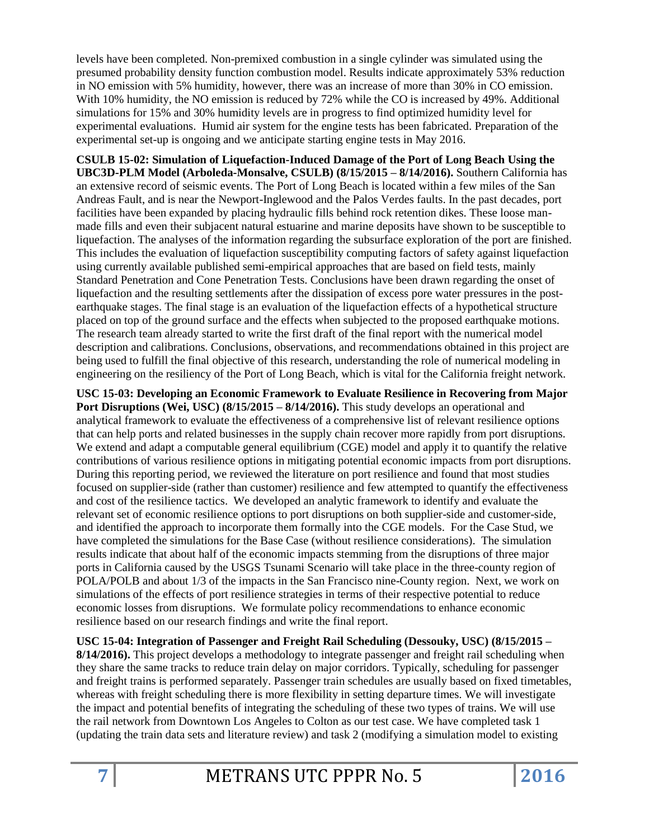levels have been completed. Non-premixed combustion in a single cylinder was simulated using the presumed probability density function combustion model. Results indicate approximately 53% reduction in NO emission with 5% humidity, however, there was an increase of more than 30% in CO emission. With 10% humidity, the NO emission is reduced by 72% while the CO is increased by 49%. Additional simulations for 15% and 30% humidity levels are in progress to find optimized humidity level for experimental evaluations. Humid air system for the engine tests has been fabricated. Preparation of the experimental set-up is ongoing and we anticipate starting engine tests in May 2016.

**CSULB 15-02: Simulation of Liquefaction-Induced Damage of the Port of Long Beach Using the UBC3D-PLM Model (Arboleda-Monsalve, CSULB) (8/15/2015 – 8/14/2016).** Southern California has an extensive record of seismic events. The Port of Long Beach is located within a few miles of the San Andreas Fault, and is near the Newport-Inglewood and the Palos Verdes faults. In the past decades, port facilities have been expanded by placing hydraulic fills behind rock retention dikes. These loose manmade fills and even their subjacent natural estuarine and marine deposits have shown to be susceptible to liquefaction. The analyses of the information regarding the subsurface exploration of the port are finished. This includes the evaluation of liquefaction susceptibility computing factors of safety against liquefaction using currently available published semi-empirical approaches that are based on field tests, mainly Standard Penetration and Cone Penetration Tests. Conclusions have been drawn regarding the onset of liquefaction and the resulting settlements after the dissipation of excess pore water pressures in the postearthquake stages. The final stage is an evaluation of the liquefaction effects of a hypothetical structure placed on top of the ground surface and the effects when subjected to the proposed earthquake motions. The research team already started to write the first draft of the final report with the numerical model description and calibrations. Conclusions, observations, and recommendations obtained in this project are being used to fulfill the final objective of this research, understanding the role of numerical modeling in engineering on the resiliency of the Port of Long Beach, which is vital for the California freight network.

**USC 15-03: Developing an Economic Framework to Evaluate Resilience in Recovering from Major Port Disruptions (Wei, USC) (8/15/2015 – 8/14/2016).** This study develops an operational and analytical framework to evaluate the effectiveness of a comprehensive list of relevant resilience options that can help ports and related businesses in the supply chain recover more rapidly from port disruptions. We extend and adapt a computable general equilibrium (CGE) model and apply it to quantify the relative contributions of various resilience options in mitigating potential economic impacts from port disruptions. During this reporting period, we reviewed the literature on port resilience and found that most studies focused on supplier-side (rather than customer) resilience and few attempted to quantify the effectiveness and cost of the resilience tactics. We developed an analytic framework to identify and evaluate the relevant set of economic resilience options to port disruptions on both supplier-side and customer-side, and identified the approach to incorporate them formally into the CGE models. For the Case Stud, we have completed the simulations for the Base Case (without resilience considerations). The simulation results indicate that about half of the economic impacts stemming from the disruptions of three major ports in California caused by the USGS Tsunami Scenario will take place in the three-county region of POLA/POLB and about 1/3 of the impacts in the San Francisco nine-County region. Next, we work on simulations of the effects of port resilience strategies in terms of their respective potential to reduce economic losses from disruptions. We formulate policy recommendations to enhance economic resilience based on our research findings and write the final report.

**USC 15-04: Integration of Passenger and Freight Rail Scheduling (Dessouky, USC) (8/15/2015 – 8/14/2016).** This project develops a methodology to integrate passenger and freight rail scheduling when they share the same tracks to reduce train delay on major corridors. Typically, scheduling for passenger and freight trains is performed separately. Passenger train schedules are usually based on fixed timetables, whereas with freight scheduling there is more flexibility in setting departure times. We will investigate the impact and potential benefits of integrating the scheduling of these two types of trains. We will use the rail network from Downtown Los Angeles to Colton as our test case. We have completed task 1 (updating the train data sets and literature review) and task 2 (modifying a simulation model to existing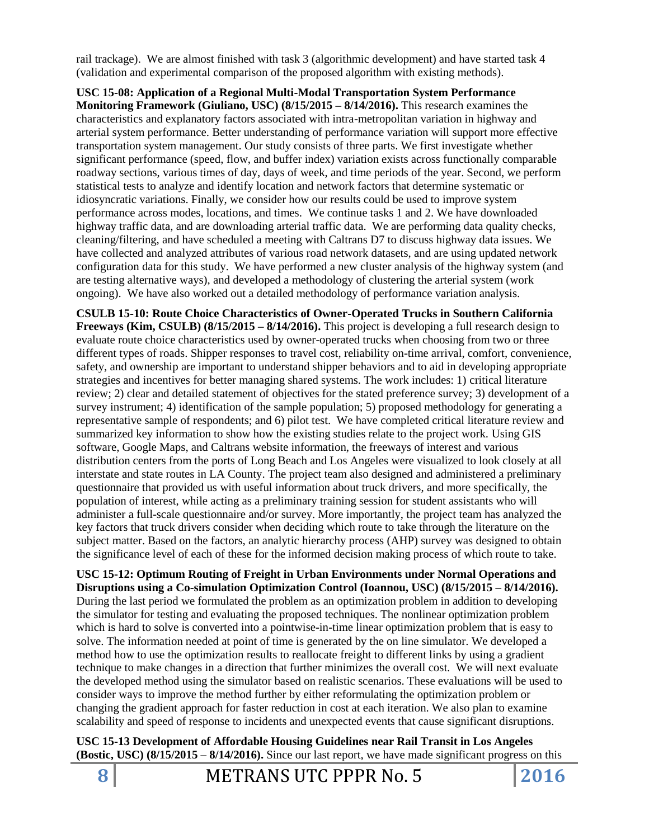rail trackage). We are almost finished with task 3 (algorithmic development) and have started task 4 (validation and experimental comparison of the proposed algorithm with existing methods).

**USC 15-08: Application of a Regional Multi-Modal Transportation System Performance Monitoring Framework (Giuliano, USC) (8/15/2015 – 8/14/2016).** This research examines the characteristics and explanatory factors associated with intra-metropolitan variation in highway and arterial system performance. Better understanding of performance variation will support more effective transportation system management. Our study consists of three parts. We first investigate whether significant performance (speed, flow, and buffer index) variation exists across functionally comparable roadway sections, various times of day, days of week, and time periods of the year. Second, we perform statistical tests to analyze and identify location and network factors that determine systematic or idiosyncratic variations. Finally, we consider how our results could be used to improve system performance across modes, locations, and times. We continue tasks 1 and 2. We have downloaded highway traffic data, and are downloading arterial traffic data. We are performing data quality checks, cleaning/filtering, and have scheduled a meeting with Caltrans D7 to discuss highway data issues. We have collected and analyzed attributes of various road network datasets, and are using updated network configuration data for this study. We have performed a new cluster analysis of the highway system (and are testing alternative ways), and developed a methodology of clustering the arterial system (work ongoing). We have also worked out a detailed methodology of performance variation analysis.

**CSULB 15-10: Route Choice Characteristics of Owner-Operated Trucks in Southern California Freeways (Kim, CSULB) (8/15/2015 – 8/14/2016).** This project is developing a full research design to evaluate route choice characteristics used by owner-operated trucks when choosing from two or three different types of roads. Shipper responses to travel cost, reliability on-time arrival, comfort, convenience, safety, and ownership are important to understand shipper behaviors and to aid in developing appropriate strategies and incentives for better managing shared systems. The work includes: 1) critical literature review; 2) clear and detailed statement of objectives for the stated preference survey; 3) development of a survey instrument; 4) identification of the sample population; 5) proposed methodology for generating a representative sample of respondents; and 6) pilot test. We have completed critical literature review and summarized key information to show how the existing studies relate to the project work. Using GIS software, Google Maps, and Caltrans website information, the freeways of interest and various distribution centers from the ports of Long Beach and Los Angeles were visualized to look closely at all interstate and state routes in LA County. The project team also designed and administered a preliminary questionnaire that provided us with useful information about truck drivers, and more specifically, the population of interest, while acting as a preliminary training session for student assistants who will administer a full-scale questionnaire and/or survey. More importantly, the project team has analyzed the key factors that truck drivers consider when deciding which route to take through the literature on the subject matter. Based on the factors, an analytic hierarchy process (AHP) survey was designed to obtain the significance level of each of these for the informed decision making process of which route to take.

### **USC 15-12: Optimum Routing of Freight in Urban Environments under Normal Operations and Disruptions using a Co-simulation Optimization Control (Ioannou, USC) (8/15/2015 – 8/14/2016).**

During the last period we formulated the problem as an optimization problem in addition to developing the simulator for testing and evaluating the proposed techniques. The nonlinear optimization problem which is hard to solve is converted into a pointwise-in-time linear optimization problem that is easy to solve. The information needed at point of time is generated by the on line simulator. We developed a method how to use the optimization results to reallocate freight to different links by using a gradient technique to make changes in a direction that further minimizes the overall cost. We will next evaluate the developed method using the simulator based on realistic scenarios. These evaluations will be used to consider ways to improve the method further by either reformulating the optimization problem or changing the gradient approach for faster reduction in cost at each iteration. We also plan to examine scalability and speed of response to incidents and unexpected events that cause significant disruptions.

**USC 15-13 Development of Affordable Housing Guidelines near Rail Transit in Los Angeles (Bostic, USC) (8/15/2015 – 8/14/2016).** Since our last report, we have made significant progress on this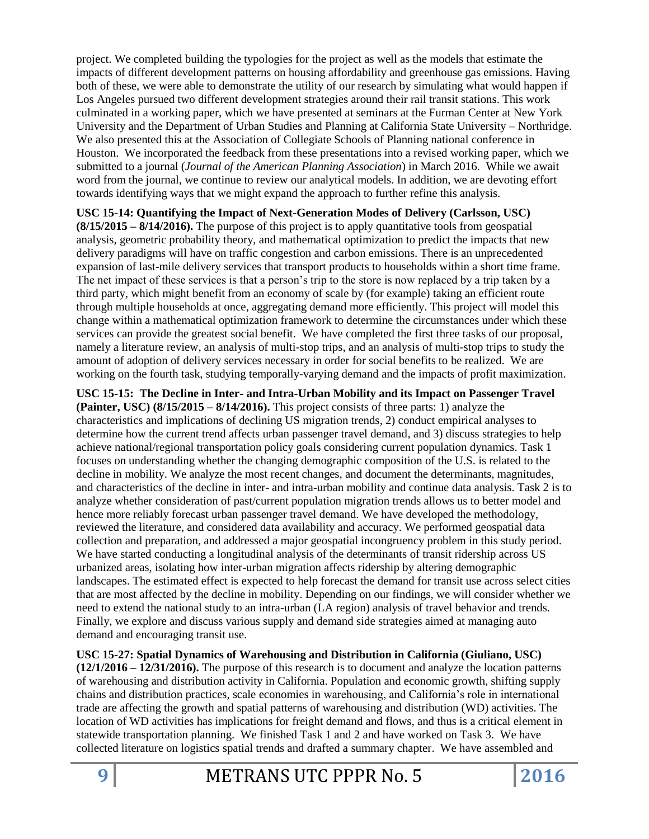project. We completed building the typologies for the project as well as the models that estimate the impacts of different development patterns on housing affordability and greenhouse gas emissions. Having both of these, we were able to demonstrate the utility of our research by simulating what would happen if Los Angeles pursued two different development strategies around their rail transit stations. This work culminated in a working paper, which we have presented at seminars at the Furman Center at New York University and the Department of Urban Studies and Planning at California State University – Northridge. We also presented this at the Association of Collegiate Schools of Planning national conference in Houston. We incorporated the feedback from these presentations into a revised working paper, which we submitted to a journal (*Journal of the American Planning Association*) in March 2016. While we await word from the journal, we continue to review our analytical models. In addition, we are devoting effort towards identifying ways that we might expand the approach to further refine this analysis.

**USC 15-14: Quantifying the Impact of Next-Generation Modes of Delivery (Carlsson, USC)** 

**(8/15/2015 – 8/14/2016).** The purpose of this project is to apply quantitative tools from geospatial analysis, geometric probability theory, and mathematical optimization to predict the impacts that new delivery paradigms will have on traffic congestion and carbon emissions. There is an unprecedented expansion of last-mile delivery services that transport products to households within a short time frame. The net impact of these services is that a person's trip to the store is now replaced by a trip taken by a third party, which might benefit from an economy of scale by (for example) taking an efficient route through multiple households at once, aggregating demand more efficiently. This project will model this change within a mathematical optimization framework to determine the circumstances under which these services can provide the greatest social benefit. We have completed the first three tasks of our proposal, namely a literature review, an analysis of multi-stop trips, and an analysis of multi-stop trips to study the amount of adoption of delivery services necessary in order for social benefits to be realized. We are working on the fourth task, studying temporally-varying demand and the impacts of profit maximization.

**USC 15-15: The Decline in Inter- and Intra-Urban Mobility and its Impact on Passenger Travel (Painter, USC) (8/15/2015 – 8/14/2016).** This project consists of three parts: 1) analyze the characteristics and implications of declining US migration trends, 2) conduct empirical analyses to determine how the current trend affects urban passenger travel demand, and 3) discuss strategies to help achieve national/regional transportation policy goals considering current population dynamics. Task 1 focuses on understanding whether the changing demographic composition of the U.S. is related to the decline in mobility. We analyze the most recent changes, and document the determinants, magnitudes, and characteristics of the decline in inter- and intra-urban mobility and continue data analysis. Task 2 is to analyze whether consideration of past/current population migration trends allows us to better model and hence more reliably forecast urban passenger travel demand. We have developed the methodology, reviewed the literature, and considered data availability and accuracy. We performed geospatial data collection and preparation, and addressed a major geospatial incongruency problem in this study period. We have started conducting a longitudinal analysis of the determinants of transit ridership across US urbanized areas, isolating how inter-urban migration affects ridership by altering demographic landscapes. The estimated effect is expected to help forecast the demand for transit use across select cities that are most affected by the decline in mobility. Depending on our findings, we will consider whether we need to extend the national study to an intra-urban (LA region) analysis of travel behavior and trends. Finally, we explore and discuss various supply and demand side strategies aimed at managing auto demand and encouraging transit use.

**USC 15-27: Spatial Dynamics of Warehousing and Distribution in California (Giuliano, USC) (12/1/2016 – 12/31/2016).** The purpose of this research is to document and analyze the location patterns of warehousing and distribution activity in California. Population and economic growth, shifting supply chains and distribution practices, scale economies in warehousing, and California's role in international trade are affecting the growth and spatial patterns of warehousing and distribution (WD) activities. The location of WD activities has implications for freight demand and flows, and thus is a critical element in statewide transportation planning. We finished Task 1 and 2 and have worked on Task 3. We have collected literature on logistics spatial trends and drafted a summary chapter. We have assembled and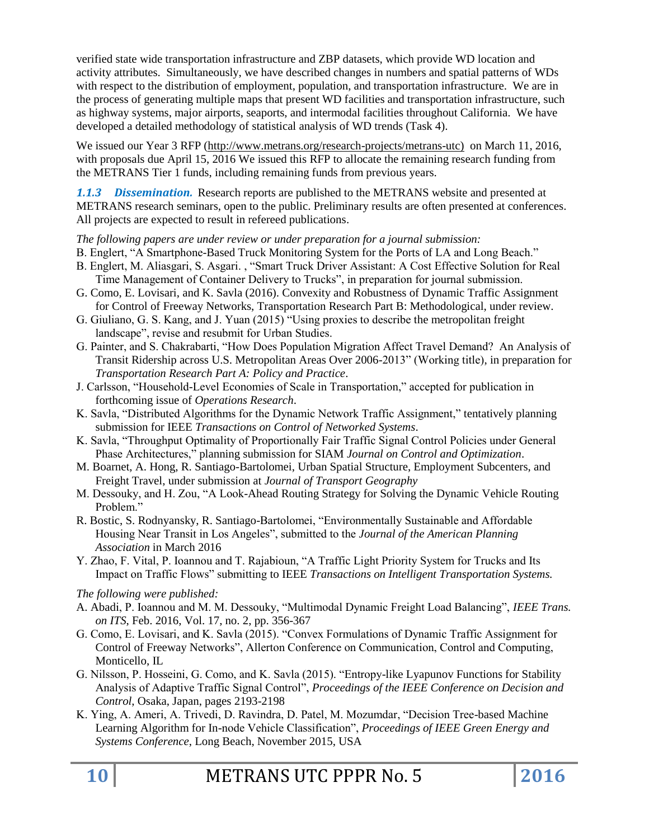verified state wide transportation infrastructure and ZBP datasets, which provide WD location and activity attributes. Simultaneously, we have described changes in numbers and spatial patterns of WDs with respect to the distribution of employment, population, and transportation infrastructure. We are in the process of generating multiple maps that present WD facilities and transportation infrastructure, such as highway systems, major airports, seaports, and intermodal facilities throughout California. We have developed a detailed methodology of statistical analysis of WD trends (Task 4).

We issued our Year 3 RFP [\(http://www.metrans.org/research-projects/metrans-utc\)](http://www.metrans.org/research-projects/metrans-utc) on March 11, 2016, with proposals due April 15, 2016 We issued this RFP to allocate the remaining research funding from the METRANS Tier 1 funds, including remaining funds from previous years.

*1.1.3 Dissemination.* Research reports are published to the METRANS website and presented at METRANS research seminars, open to the public. Preliminary results are often presented at conferences. All projects are expected to result in refereed publications.

*The following papers are under review or under preparation for a journal submission:*

- B. Englert, "A Smartphone-Based Truck Monitoring System for the Ports of LA and Long Beach."
- B. Englert, M. Aliasgari, S. Asgari. , "Smart Truck Driver Assistant: A Cost Effective Solution for Real Time Management of Container Delivery to Trucks", in preparation for journal submission.
- G. Como, E. Lovisari, and K. Savla (2016). Convexity and Robustness of Dynamic Traffic Assignment for Control of Freeway Networks, Transportation Research Part B: Methodological, under review.
- G. Giuliano, G. S. Kang, and J. Yuan (2015) "Using proxies to describe the metropolitan freight landscape", revise and resubmit for Urban Studies.
- G. Painter, and S. Chakrabarti, "How Does Population Migration Affect Travel Demand? An Analysis of Transit Ridership across U.S. Metropolitan Areas Over 2006-2013" (Working title), in preparation for *Transportation Research Part A: Policy and Practice*.
- J. Carlsson, "Household-Level Economies of Scale in Transportation," accepted for publication in forthcoming issue of *Operations Research*.
- K. Savla, "Distributed Algorithms for the Dynamic Network Traffic Assignment," tentatively planning submission for IEEE *Transactions on Control of Networked Systems*.
- K. Savla, "Throughput Optimality of Proportionally Fair Traffic Signal Control Policies under General Phase Architectures," planning submission for SIAM *Journal on Control and Optimization*.
- M. Boarnet, A. Hong, R. Santiago-Bartolomei, Urban Spatial Structure, Employment Subcenters, and Freight Travel, under submission at *Journal of Transport Geography*
- M. Dessouky, and H. Zou, "A Look-Ahead Routing Strategy for Solving the Dynamic Vehicle Routing Problem."
- R. Bostic, S. Rodnyansky, R. Santiago-Bartolomei, "Environmentally Sustainable and Affordable Housing Near Transit in Los Angeles", submitted to the *Journal of the American Planning Association* in March 2016
- Y. Zhao, F. Vital, P. Ioannou and T. Rajabioun, "A Traffic Light Priority System for Trucks and Its Impact on Traffic Flows" submitting to IEEE *Transactions on Intelligent Transportation Systems.*

*The following were published:*

- A. Abadi, P. Ioannou and M. M. Dessouky, "Multimodal Dynamic Freight Load Balancing", *IEEE Trans. on ITS*, Feb. 2016, Vol. 17, no. 2, pp. 356-367
- G. Como, E. Lovisari, and K. Savla (2015). "Convex Formulations of Dynamic Traffic Assignment for Control of Freeway Networks", Allerton Conference on Communication, Control and Computing, Monticello, IL
- G. Nilsson, P. Hosseini, G. Como, and K. Savla (2015). "Entropy-like Lyapunov Functions for Stability Analysis of Adaptive Traffic Signal Control", *Proceedings of the IEEE Conference on Decision and Control*, Osaka, Japan, pages 2193-2198
- K. Ying, A. Ameri, A. Trivedi, D. Ravindra, D. Patel, M. Mozumdar, "Decision Tree-based Machine Learning Algorithm for In-node Vehicle Classification", *Proceedings of IEEE Green Energy and Systems Conference*, Long Beach, November 2015, USA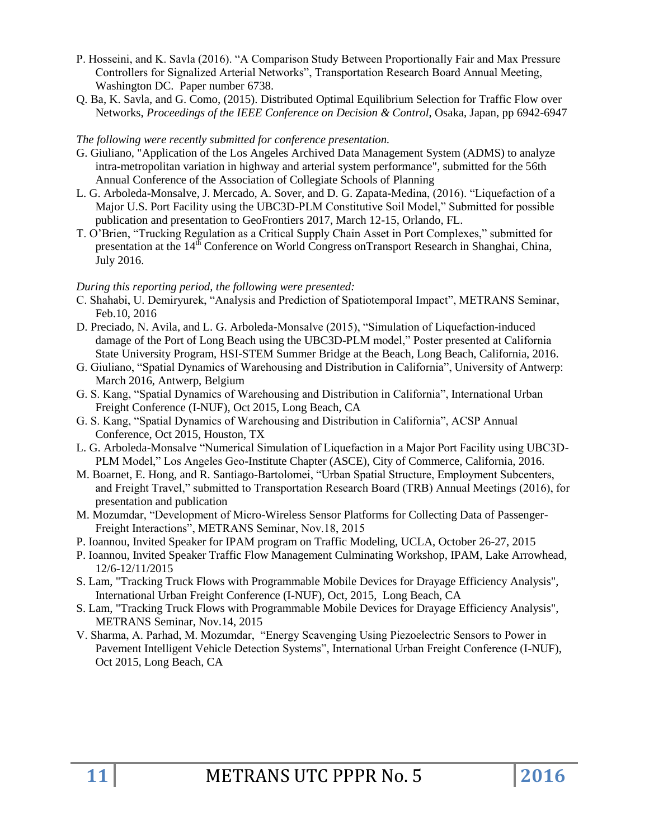- P. Hosseini, and K. Savla (2016). "A Comparison Study Between Proportionally Fair and Max Pressure Controllers for Signalized Arterial Networks", Transportation Research Board Annual Meeting, Washington DC. Paper number 6738.
- Q. Ba, K. Savla, and G. Como, (2015). Distributed Optimal Equilibrium Selection for Traffic Flow over Networks, *Proceedings of the IEEE Conference on Decision & Control*, Osaka, Japan, pp 6942-6947

#### *The following were recently submitted for conference presentation.*

- G. Giuliano, "Application of the Los Angeles Archived Data Management System (ADMS) to analyze intra-metropolitan variation in highway and arterial system performance", submitted for the 56th Annual Conference of the Association of Collegiate Schools of Planning
- L. G. Arboleda-Monsalve, J. Mercado, A. Sover, and D. G. Zapata-Medina, (2016). "Liquefaction of a Major U.S. Port Facility using the UBC3D-PLM Constitutive Soil Model," Submitted for possible publication and presentation to GeoFrontiers 2017, March 12-15, Orlando, FL.
- T. O'Brien, "Trucking Regulation as a Critical Supply Chain Asset in Port Complexes," submitted for presentation at the  $14<sup>th</sup>$  Conference on World Congress on Transport Research in Shanghai, China, July 2016.

### *During this reporting period, the following were presented:*

- C. Shahabi, U. Demiryurek, "Analysis and Prediction of Spatiotemporal Impact", METRANS Seminar, Feb.10, 2016
- D. Preciado, N. Avila, and L. G. Arboleda-Monsalve (2015), "Simulation of Liquefaction-induced damage of the Port of Long Beach using the UBC3D-PLM model," Poster presented at California State University Program, HSI-STEM Summer Bridge at the Beach, Long Beach, California, 2016.
- G. Giuliano, "Spatial Dynamics of Warehousing and Distribution in California", University of Antwerp: March 2016, Antwerp, Belgium
- G. S. Kang, "Spatial Dynamics of Warehousing and Distribution in California", International Urban Freight Conference (I-NUF), Oct 2015, Long Beach, CA
- G. S. Kang, "Spatial Dynamics of Warehousing and Distribution in California", ACSP Annual Conference, Oct 2015, Houston, TX
- L. G. Arboleda-Monsalve "Numerical Simulation of Liquefaction in a Major Port Facility using UBC3D-PLM Model," Los Angeles Geo-Institute Chapter (ASCE), City of Commerce, California, 2016.
- M. Boarnet, E. Hong, and R. Santiago-Bartolomei, "Urban Spatial Structure, Employment Subcenters, and Freight Travel," submitted to Transportation Research Board (TRB) Annual Meetings (2016), for presentation and publication
- M. Mozumdar, "Development of Micro-Wireless Sensor Platforms for Collecting Data of Passenger-Freight Interactions", METRANS Seminar, Nov.18, 2015
- P. Ioannou, Invited Speaker for IPAM program on Traffic Modeling, UCLA, October 26-27, 2015
- P. Ioannou, Invited Speaker Traffic Flow Management Culminating Workshop, IPAM, Lake Arrowhead, 12/6-12/11/2015
- S. Lam, "Tracking Truck Flows with Programmable Mobile Devices for Drayage Efficiency Analysis", International Urban Freight Conference (I-NUF), Oct, 2015, Long Beach, CA
- S. Lam, "Tracking Truck Flows with Programmable Mobile Devices for Drayage Efficiency Analysis", METRANS Seminar, Nov.14, 2015
- V. Sharma, A. Parhad, M. Mozumdar, "Energy Scavenging Using Piezoelectric Sensors to Power in Pavement Intelligent Vehicle Detection Systems", International Urban Freight Conference (I-NUF), Oct 2015, Long Beach, CA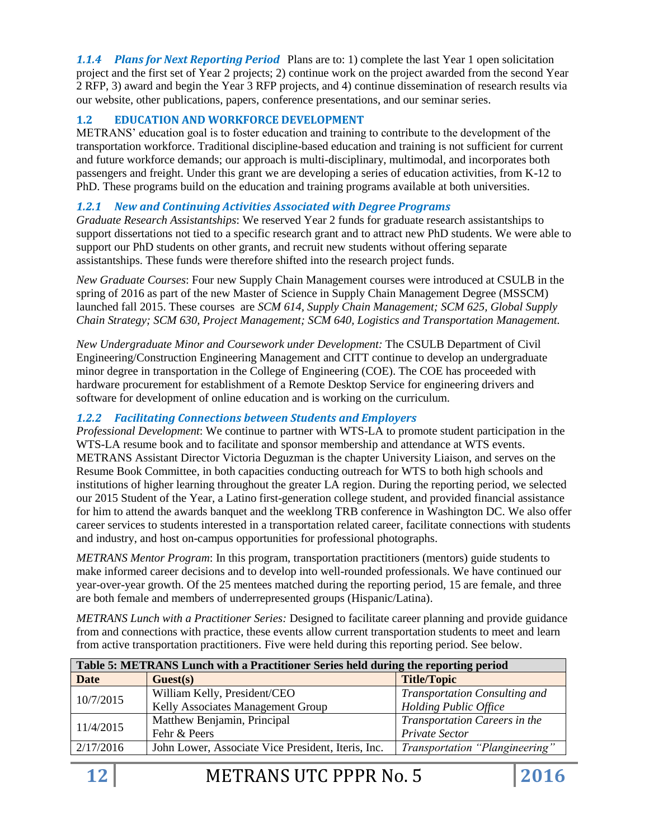*1.1.4 Plans for Next Reporting Period* Plans are to: 1) complete the last Year 1 open solicitation project and the first set of Year 2 projects; 2) continue work on the project awarded from the second Year 2 RFP, 3) award and begin the Year 3 RFP projects, and 4) continue dissemination of research results via our website, other publications, papers, conference presentations, and our seminar series.

### **1.2 EDUCATION AND WORKFORCE DEVELOPMENT**

METRANS' education goal is to foster education and training to contribute to the development of the transportation workforce. Traditional discipline-based education and training is not sufficient for current and future workforce demands; our approach is multi-disciplinary, multimodal, and incorporates both passengers and freight. Under this grant we are developing a series of education activities, from K-12 to PhD. These programs build on the education and training programs available at both universities.

### *1.2.1 New and Continuing Activities Associated with Degree Programs*

*Graduate Research Assistantships*: We reserved Year 2 funds for graduate research assistantships to support dissertations not tied to a specific research grant and to attract new PhD students. We were able to support our PhD students on other grants, and recruit new students without offering separate assistantships. These funds were therefore shifted into the research project funds.

*New Graduate Courses*: Four new Supply Chain Management courses were introduced at CSULB in the spring of 2016 as part of the new Master of Science in Supply Chain Management Degree (MSSCM) launched fall 2015. These courses are *SCM 614, Supply Chain Management; SCM 625, Global Supply Chain Strategy; SCM 630, Project Management; SCM 640, Logistics and Transportation Management.*

*New Undergraduate Minor and Coursework under Development:* The CSULB Department of Civil Engineering/Construction Engineering Management and CITT continue to develop an undergraduate minor degree in transportation in the College of Engineering (COE). The COE has proceeded with hardware procurement for establishment of a Remote Desktop Service for engineering drivers and software for development of online education and is working on the curriculum.

### *1.2.2 Facilitating Connections between Students and Employers*

*Professional Development*: We continue to partner with WTS-LA to promote student participation in the WTS-LA resume book and to facilitate and sponsor membership and attendance at WTS events. METRANS Assistant Director Victoria Deguzman is the chapter University Liaison, and serves on the Resume Book Committee, in both capacities conducting outreach for WTS to both high schools and institutions of higher learning throughout the greater LA region. During the reporting period, we selected our 2015 Student of the Year, a Latino first-generation college student, and provided financial assistance for him to attend the awards banquet and the weeklong TRB conference in Washington DC. We also offer career services to students interested in a transportation related career, facilitate connections with students and industry, and host on-campus opportunities for professional photographs.

*METRANS Mentor Program*: In this program, transportation practitioners (mentors) guide students to make informed career decisions and to develop into well-rounded professionals. We have continued our year-over-year growth. Of the 25 mentees matched during the reporting period, 15 are female, and three are both female and members of underrepresented groups (Hispanic/Latina).

*METRANS Lunch with a Practitioner Series:* Designed to facilitate career planning and provide guidance from and connections with practice, these events allow current transportation students to meet and learn from active transportation practitioners. Five were held during this reporting period. See below.

| Table 5: METRANS Lunch with a Practitioner Series held during the reporting period |                                                    |                                |
|------------------------------------------------------------------------------------|----------------------------------------------------|--------------------------------|
| Date                                                                               | <b>Title/Topic</b><br>Guest(s)                     |                                |
| 10/7/2015                                                                          | William Kelly, President/CEO                       | Transportation Consulting and  |
|                                                                                    | Kelly Associates Management Group                  | <b>Holding Public Office</b>   |
| 11/4/2015                                                                          | Matthew Benjamin, Principal                        | Transportation Careers in the  |
|                                                                                    | Fehr & Peers                                       | Private Sector                 |
| 2/17/2016                                                                          | John Lower, Associate Vice President, Iteris, Inc. | Transportation "Plangineering" |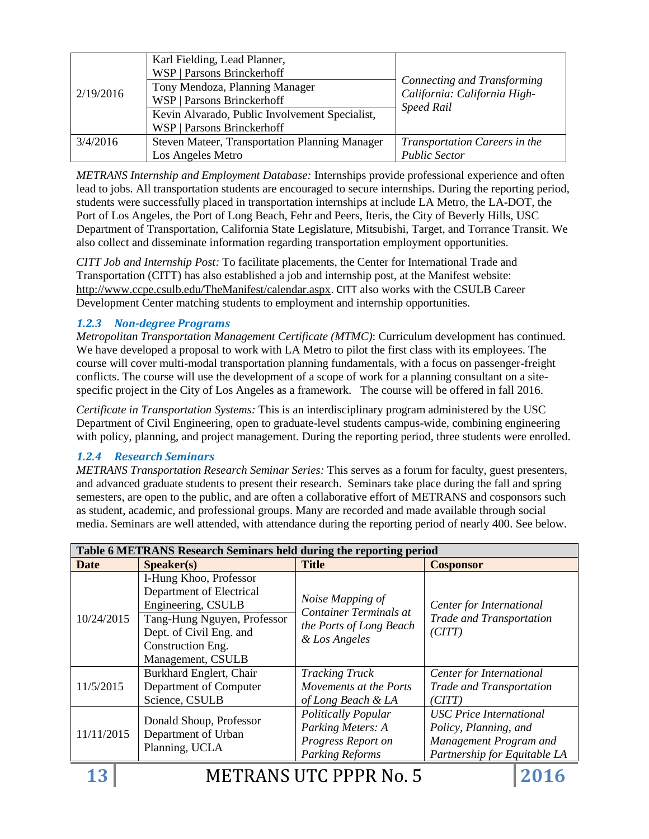| 2/19/2016 | Karl Fielding, Lead Planner,                   |                                                                                  |  |
|-----------|------------------------------------------------|----------------------------------------------------------------------------------|--|
|           | <b>WSP   Parsons Brinckerhoff</b>              |                                                                                  |  |
|           | Tony Mendoza, Planning Manager                 | Connecting and Transforming<br>California: California High-<br><b>Speed Rail</b> |  |
|           | WSP   Parsons Brinckerhoff                     |                                                                                  |  |
|           | Kevin Alvarado, Public Involvement Specialist, |                                                                                  |  |
|           | WSP   Parsons Brinckerhoff                     |                                                                                  |  |
| 3/4/2016  | Steven Mateer, Transportation Planning Manager | <b>Transportation Careers in the</b>                                             |  |
|           | Los Angeles Metro                              | <b>Public Sector</b>                                                             |  |

*METRANS Internship and Employment Database:* Internships provide professional experience and often lead to jobs. All transportation students are encouraged to secure internships. During the reporting period, students were successfully placed in transportation internships at include LA Metro, the LA-DOT, the Port of Los Angeles, the Port of Long Beach, Fehr and Peers, Iteris, the City of Beverly Hills, USC Department of Transportation, California State Legislature, Mitsubishi, Target, and Torrance Transit. We also collect and disseminate information regarding transportation employment opportunities.

*CITT Job and Internship Post:* To facilitate placements, the Center for International Trade and Transportation (CITT) has also established a job and internship post, at the Manifest website: <http://www.ccpe.csulb.edu/TheManifest/calendar.aspx>. CITT also works with the CSULB Career Development Center matching students to employment and internship opportunities.

### *1.2.3 Non-degree Programs*

*Metropolitan Transportation Management Certificate (MTMC)*: Curriculum development has continued. We have developed a proposal to work with LA Metro to pilot the first class with its employees. The course will cover multi-modal transportation planning fundamentals, with a focus on passenger-freight conflicts. The course will use the development of a scope of work for a planning consultant on a sitespecific project in the City of Los Angeles as a framework. The course will be offered in fall 2016.

*Certificate in Transportation Systems:* This is an interdisciplinary program administered by the USC Department of Civil Engineering, open to graduate-level students campus-wide, combining engineering with policy, planning, and project management. During the reporting period, three students were enrolled.

### *1.2.4 Research Seminars*

*METRANS Transportation Research Seminar Series:* This serves as a forum for faculty, guest presenters, and advanced graduate students to present their research. Seminars take place during the fall and spring semesters, are open to the public, and are often a collaborative effort of METRANS and cosponsors such as student, academic, and professional groups. Many are recorded and made available through social media. Seminars are well attended, with attendance during the reporting period of nearly 400. See below.

| Table 6 METRANS Research Seminars held during the reporting period |                                                                                                                                                                              |                                                                                                 |                                                                                                                   |
|--------------------------------------------------------------------|------------------------------------------------------------------------------------------------------------------------------------------------------------------------------|-------------------------------------------------------------------------------------------------|-------------------------------------------------------------------------------------------------------------------|
| <b>Date</b>                                                        | S <sub>p</sub> e <sub>aker(s)</sub>                                                                                                                                          | <b>Title</b>                                                                                    | <b>Cosponsor</b>                                                                                                  |
| 10/24/2015                                                         | I-Hung Khoo, Professor<br>Department of Electrical<br>Engineering, CSULB<br>Tang-Hung Nguyen, Professor<br>Dept. of Civil Eng. and<br>Construction Eng.<br>Management, CSULB | Noise Mapping of<br>Container Terminals at<br>the Ports of Long Beach<br>& Los Angeles          | Center for International<br>Trade and Transportation<br>(CITT)                                                    |
| 11/5/2015                                                          | Burkhard Englert, Chair<br>Department of Computer<br>Science, CSULB                                                                                                          | <b>Tracking Truck</b><br>Movements at the Ports<br>of Long Beach & LA                           | Center for International<br>Trade and Transportation<br>(CITT)                                                    |
| 11/11/2015                                                         | Donald Shoup, Professor<br>Department of Urban<br>Planning, UCLA                                                                                                             | <b>Politically Popular</b><br>Parking Meters: A<br>Progress Report on<br><b>Parking Reforms</b> | <b>USC</b> Price International<br>Policy, Planning, and<br>Management Program and<br>Partnership for Equitable LA |

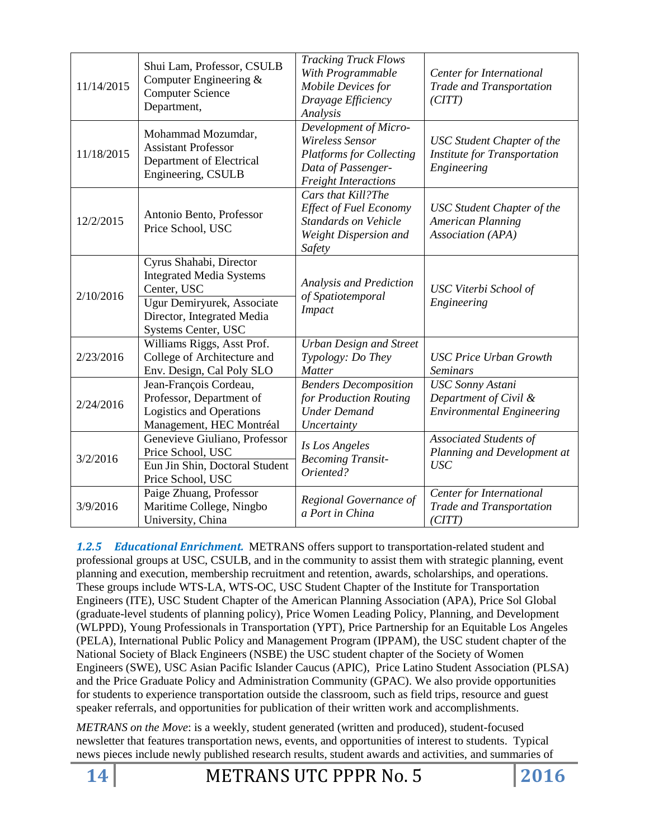| 11/14/2015 | Shui Lam, Professor, CSULB<br>Computer Engineering &<br><b>Computer Science</b><br>Department,                                                               | <b>Tracking Truck Flows</b><br>With Programmable<br>Mobile Devices for<br>Drayage Efficiency<br>Analysis                         | Center for International<br>Trade and Transportation<br>(CITT)                          |
|------------|--------------------------------------------------------------------------------------------------------------------------------------------------------------|----------------------------------------------------------------------------------------------------------------------------------|-----------------------------------------------------------------------------------------|
| 11/18/2015 | Mohammad Mozumdar,<br><b>Assistant Professor</b><br>Department of Electrical<br>Engineering, CSULB                                                           | Development of Micro-<br>Wireless Sensor<br><b>Platforms for Collecting</b><br>Data of Passenger-<br><b>Freight Interactions</b> | <b>USC</b> Student Chapter of the<br><b>Institute for Transportation</b><br>Engineering |
| 12/2/2015  | Antonio Bento, Professor<br>Price School, USC                                                                                                                | Cars that Kill?The<br><b>Effect of Fuel Economy</b><br>Standards on Vehicle<br>Weight Dispersion and<br>Safety                   | <b>USC</b> Student Chapter of the<br><b>American Planning</b><br>Association (APA)      |
| 2/10/2016  | Cyrus Shahabi, Director<br><b>Integrated Media Systems</b><br>Center, USC<br>Ugur Demiryurek, Associate<br>Director, Integrated Media<br>Systems Center, USC | <b>Analysis and Prediction</b><br>of Spatiotemporal<br><b>Impact</b>                                                             | USC Viterbi School of<br>Engineering                                                    |
| 2/23/2016  | Williams Riggs, Asst Prof.<br>College of Architecture and<br>Env. Design, Cal Poly SLO                                                                       | <b>Urban Design and Street</b><br>Typology: Do They<br><b>Matter</b>                                                             | <b>USC Price Urban Growth</b><br><b>Seminars</b>                                        |
| 2/24/2016  | Jean-François Cordeau,<br>Professor, Department of<br><b>Logistics and Operations</b><br>Management, HEC Montréal                                            | <b>Benders Decomposition</b><br>for Production Routing<br><b>Under Demand</b><br>Uncertainty                                     | <b>USC Sonny Astani</b><br>Department of Civil &<br><b>Environmental Engineering</b>    |
| 3/2/2016   | Genevieve Giuliano, Professor<br>Price School, USC<br>Eun Jin Shin, Doctoral Student<br>Price School, USC                                                    | Is Los Angeles<br><b>Becoming Transit-</b><br>Oriented?                                                                          | <b>Associated Students of</b><br>Planning and Development at<br><b>USC</b>              |
| 3/9/2016   | Paige Zhuang, Professor<br>Maritime College, Ningbo<br>University, China                                                                                     | Regional Governance of<br>a Port in China                                                                                        | Center for International<br>Trade and Transportation<br>(CITT)                          |

*1.2.5 Educational Enrichment.* METRANS offers support to transportation-related student and professional groups at USC, CSULB, and in the community to assist them with strategic planning, event planning and execution, membership recruitment and retention, awards, scholarships, and operations. These groups include WTS-LA, WTS-OC, USC Student Chapter of the Institute for Transportation Engineers (ITE), USC Student Chapter of the American Planning Association (APA), Price Sol Global (graduate-level students of planning policy), Price Women Leading Policy, Planning, and Development (WLPPD), Young Professionals in Transportation (YPT), Price Partnership for an Equitable Los Angeles (PELA), International Public Policy and Management Program (IPPAM), the USC student chapter of the National Society of Black Engineers (NSBE) the USC student chapter of the Society of Women Engineers (SWE), USC Asian Pacific Islander Caucus (APIC), Price Latino Student Association (PLSA) and the Price Graduate Policy and Administration Community (GPAC). We also provide opportunities for students to experience transportation outside the classroom, such as field trips, resource and guest speaker referrals, and opportunities for publication of their written work and accomplishments.

*METRANS on the Move*: is a weekly, student generated (written and produced), student-focused newsletter that features transportation news, events, and opportunities of interest to students. Typical news pieces include newly published research results, student awards and activities, and summaries of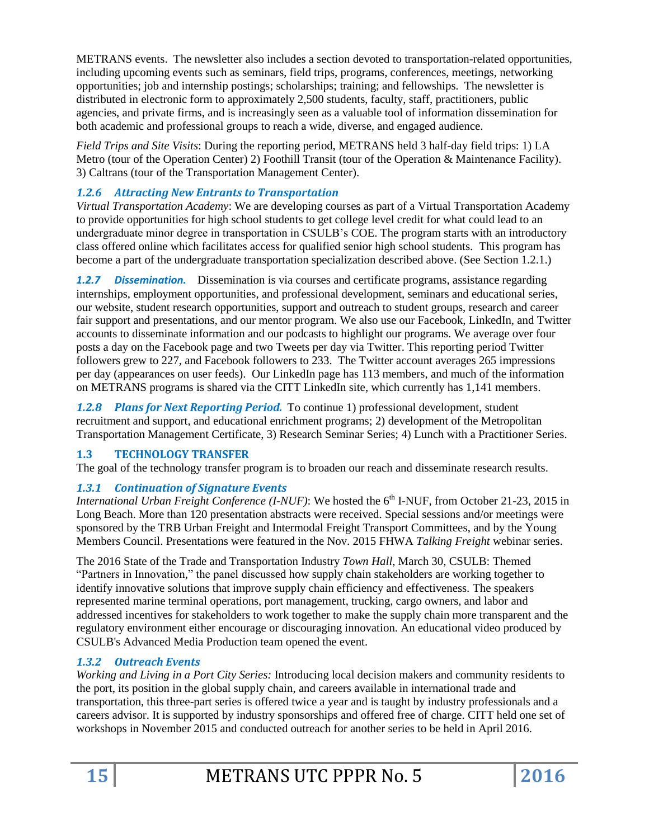METRANS events. The newsletter also includes a section devoted to transportation-related opportunities, including upcoming events such as seminars, field trips, programs, conferences, meetings, networking opportunities; job and internship postings; scholarships; training; and fellowships. The newsletter is distributed in electronic form to approximately 2,500 students, faculty, staff, practitioners, public agencies, and private firms, and is increasingly seen as a valuable tool of information dissemination for both academic and professional groups to reach a wide, diverse, and engaged audience.

*Field Trips and Site Visits*: During the reporting period, METRANS held 3 half-day field trips: 1) LA Metro (tour of the Operation Center) 2) Foothill Transit (tour of the Operation & Maintenance Facility). 3) Caltrans (tour of the Transportation Management Center).

# *1.2.6 Attracting New Entrants to Transportation*

*Virtual Transportation Academy*: We are developing courses as part of a Virtual Transportation Academy to provide opportunities for high school students to get college level credit for what could lead to an undergraduate minor degree in transportation in CSULB's COE. The program starts with an introductory class offered online which facilitates access for qualified senior high school students. This program has become a part of the undergraduate transportation specialization described above. (See Section 1.2.1.)

*1.2.7 Dissemination.* Dissemination is via courses and certificate programs, assistance regarding internships, employment opportunities, and professional development, seminars and educational series, our website, student research opportunities, support and outreach to student groups, research and career fair support and presentations, and our mentor program. We also use our Facebook, LinkedIn, and Twitter accounts to disseminate information and our podcasts to highlight our programs. We average over four posts a day on the Facebook page and two Tweets per day via Twitter. This reporting period Twitter followers grew to 227, and Facebook followers to 233. The Twitter account averages 265 impressions per day (appearances on user feeds). Our LinkedIn page has 113 members, and much of the information on METRANS programs is shared via the CITT LinkedIn site, which currently has 1,141 members.

*1.2.8 Plans for Next Reporting Period.* To continue 1) professional development, student recruitment and support, and educational enrichment programs; 2) development of the Metropolitan Transportation Management Certificate, 3) Research Seminar Series; 4) Lunch with a Practitioner Series.

## **1.3 TECHNOLOGY TRANSFER**

The goal of the technology transfer program is to broaden our reach and disseminate research results.

## *1.3.1 Continuation of Signature Events*

*International Urban Freight Conference* (*I-NUF*): We hosted the 6<sup>th</sup> I-NUF, from October 21-23, 2015 in Long Beach. More than 120 presentation abstracts were received. Special sessions and/or meetings were sponsored by the TRB Urban Freight and Intermodal Freight Transport Committees, and by the Young Members Council. Presentations were featured in the Nov. 2015 FHWA *Talking Freight* webinar series.

The 2016 State of the Trade and Transportation Industry *Town Hall*, March 30, CSULB: Themed "Partners in Innovation," the panel discussed how supply chain stakeholders are working together to identify innovative solutions that improve supply chain efficiency and effectiveness. The speakers represented marine terminal operations, port management, trucking, cargo owners, and labor and addressed incentives for stakeholders to work together to make the supply chain more transparent and the regulatory environment either encourage or discouraging innovation. An educational video produced by CSULB's Advanced Media Production team opened the event.

# *1.3.2 Outreach Events*

*Working and Living in a Port City Series:* Introducing local decision makers and community residents to the port, its position in the global supply chain, and careers available in international trade and transportation, this three-part series is offered twice a year and is taught by industry professionals and a careers advisor. It is supported by industry sponsorships and offered free of charge. CITT held one set of workshops in November 2015 and conducted outreach for another series to be held in April 2016.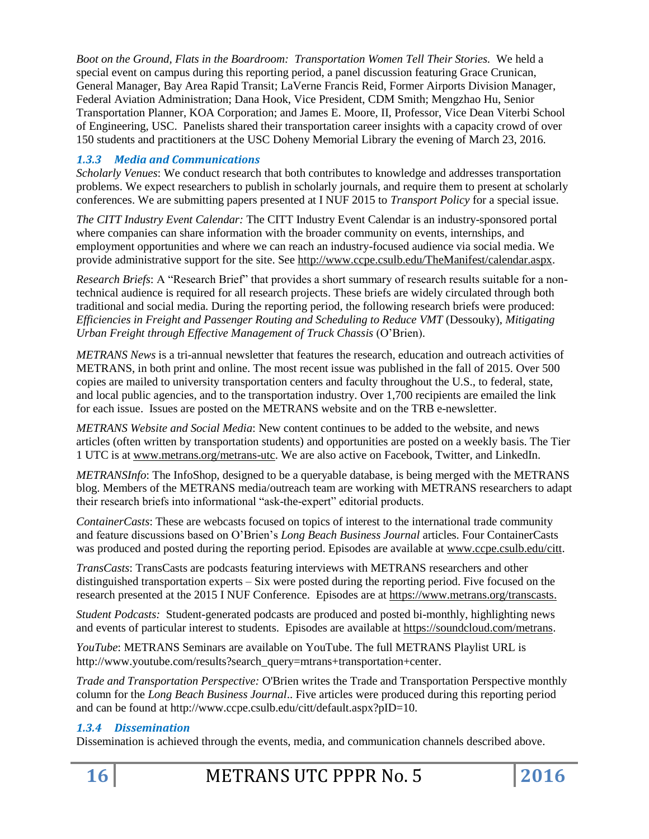*Boot on the Ground, Flats in the Boardroom: Transportation Women Tell Their Stories.* We held a special event on campus during this reporting period, a panel discussion featuring Grace Crunican, General Manager, Bay Area Rapid Transit; LaVerne Francis Reid, Former Airports Division Manager, Federal Aviation Administration; Dana Hook, Vice President, CDM Smith; Mengzhao Hu, Senior Transportation Planner, KOA Corporation; and James E. Moore, II, Professor, Vice Dean Viterbi School of Engineering, USC. Panelists shared their transportation career insights with a capacity crowd of over 150 students and practitioners at the USC Doheny Memorial Library the evening of March 23, 2016.

# *1.3.3 Media and Communications*

*Scholarly Venues*: We conduct research that both contributes to knowledge and addresses transportation problems. We expect researchers to publish in scholarly journals, and require them to present at scholarly conferences. We are submitting papers presented at I NUF 2015 to *Transport Policy* for a special issue.

*The CITT Industry Event Calendar:* The CITT Industry Event Calendar is an industry-sponsored portal where companies can share information with the broader community on events, internships, and employment opportunities and where we can reach an industry-focused audience via social media. We provide administrative support for the site. See [http://www.ccpe.csulb.edu/TheManifest/calendar.aspx.](http://www.ccpe.csulb.edu/TheManifest/calendar.aspx)

*Research Briefs*: A "Research Brief" that provides a short summary of research results suitable for a nontechnical audience is required for all research projects. These briefs are widely circulated through both traditional and social media. During the reporting period, the following research briefs were produced: *Efficiencies in Freight and Passenger Routing and Scheduling to Reduce VMT* (Dessouky), *Mitigating Urban Freight through Effective Management of Truck Chassis* (O'Brien).

*METRANS News* is a tri-annual newsletter that features the research, education and outreach activities of METRANS, in both print and online. The most recent issue was published in the fall of 2015. Over 500 copies are mailed to university transportation centers and faculty throughout the U.S., to federal, state, and local public agencies, and to the transportation industry. Over 1,700 recipients are emailed the link for each issue. Issues are posted on the METRANS website and on the TRB e-newsletter.

*METRANS Website and Social Media*: New content continues to be added to the website, and news articles (often written by transportation students) and opportunities are posted on a weekly basis. The Tier 1 UTC is at [www.metrans.org/metrans-utc.](http://www.metrans.org/metrans-utc) We are also active on Facebook, Twitter, and LinkedIn.

*METRANSInfo*: The InfoShop, designed to be a queryable database, is being merged with the METRANS blog. Members of the METRANS media/outreach team are working with METRANS researchers to adapt their research briefs into informational "ask-the-expert" editorial products.

*ContainerCasts*: These are webcasts focused on topics of interest to the international trade community and feature discussions based on O'Brien's *Long Beach Business Journal* articles. Four ContainerCasts was produced and posted during the reporting period. Episodes are available at [www.ccpe.csulb.edu/citt.](http://www.ccpe.csulb.edu/citt)

*TransCasts*: TransCasts are podcasts featuring interviews with METRANS researchers and other distinguished transportation experts – Six were posted during the reporting period. Five focused on the research presented at the 2015 I NUF Conference. Episodes are at [https://www.metrans.org/transcasts.](https://www.metrans.org/transcasts)

*Student Podcasts:* Student-generated podcasts are produced and posted bi-monthly, highlighting news and events of particular interest to students. Episodes are available at [https://soundcloud.com/metrans.](https://soundcloud.com/metrans)

*YouTube*: METRANS Seminars are available on YouTube. The full METRANS Playlist URL is http://www.youtube.com/results?search\_query=mtrans+transportation+center.

*Trade and Transportation Perspective:* O'Brien writes the Trade and Transportation Perspective monthly column for the *Long Beach Business Journal*.. Five articles were produced during this reporting period and can be found at http://www.ccpe.csulb.edu/citt/default.aspx?pID=10.

## *1.3.4 Dissemination*

Dissemination is achieved through the events, media, and communication channels described above.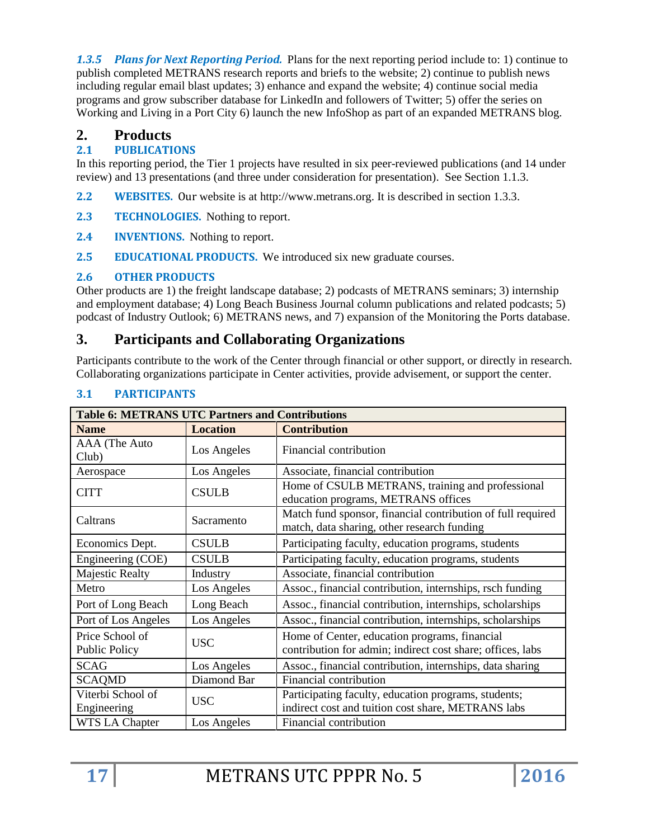*1.3.5 Plans for Next Reporting Period.* Plans for the next reporting period include to: 1) continue to publish completed METRANS research reports and briefs to the website; 2) continue to publish news including regular email blast updates; 3) enhance and expand the website; 4) continue social media programs and grow subscriber database for LinkedIn and followers of Twitter; 5) offer the series on Working and Living in a Port City 6) launch the new InfoShop as part of an expanded METRANS blog.

# **2. Products**

# **2.1 PUBLICATIONS**

In this reporting period, the Tier 1 projects have resulted in six peer-reviewed publications (and 14 under review) and 13 presentations (and three under consideration for presentation). See Section 1.1.3.

- **2.2 WEBSITES.** Our website is at http://www.metrans.org. It is described in section 1.3.3.
- **2.3 TECHNOLOGIES.** Nothing to report.
- **2.4 INVENTIONS.** Nothing to report.
- **2.5 EDUCATIONAL PRODUCTS.** We introduced six new graduate courses.

# **2.6 OTHER PRODUCTS**

Other products are 1) the freight landscape database; 2) podcasts of METRANS seminars; 3) internship and employment database; 4) Long Beach Business Journal column publications and related podcasts; 5) podcast of Industry Outlook; 6) METRANS news, and 7) expansion of the Monitoring the Ports database.

# **3. Participants and Collaborating Organizations**

Participants contribute to the work of the Center through financial or other support, or directly in research. Collaborating organizations participate in Center activities, provide advisement, or support the center.

| <b>Table 6: METRANS UTC Partners and Contributions</b> |                 |                                                                                                             |  |
|--------------------------------------------------------|-----------------|-------------------------------------------------------------------------------------------------------------|--|
| <b>Name</b>                                            | <b>Location</b> | <b>Contribution</b>                                                                                         |  |
| AAA (The Auto<br>Club)                                 | Los Angeles     | Financial contribution                                                                                      |  |
| Aerospace                                              | Los Angeles     | Associate, financial contribution                                                                           |  |
| <b>CITT</b>                                            | <b>CSULB</b>    | Home of CSULB METRANS, training and professional<br>education programs, METRANS offices                     |  |
| Caltrans                                               | Sacramento      | Match fund sponsor, financial contribution of full required<br>match, data sharing, other research funding  |  |
| Economics Dept.                                        | <b>CSULB</b>    | Participating faculty, education programs, students                                                         |  |
| Engineering (COE)                                      | <b>CSULB</b>    | Participating faculty, education programs, students                                                         |  |
| <b>Majestic Realty</b>                                 | Industry        | Associate, financial contribution                                                                           |  |
| Metro                                                  | Los Angeles     | Assoc., financial contribution, internships, rsch funding                                                   |  |
| Port of Long Beach                                     | Long Beach      | Assoc., financial contribution, internships, scholarships                                                   |  |
| Port of Los Angeles                                    | Los Angeles     | Assoc., financial contribution, internships, scholarships                                                   |  |
| Price School of<br>Public Policy                       | <b>USC</b>      | Home of Center, education programs, financial<br>contribution for admin; indirect cost share; offices, labs |  |
| <b>SCAG</b>                                            | Los Angeles     | Assoc., financial contribution, internships, data sharing                                                   |  |
| <b>SCAQMD</b>                                          | Diamond Bar     | Financial contribution                                                                                      |  |
| Viterbi School of                                      | <b>USC</b>      | Participating faculty, education programs, students;                                                        |  |
| Engineering                                            |                 | indirect cost and tuition cost share, METRANS labs                                                          |  |
| <b>WTS LA Chapter</b>                                  | Los Angeles     | Financial contribution                                                                                      |  |

# **3.1 PARTICIPANTS**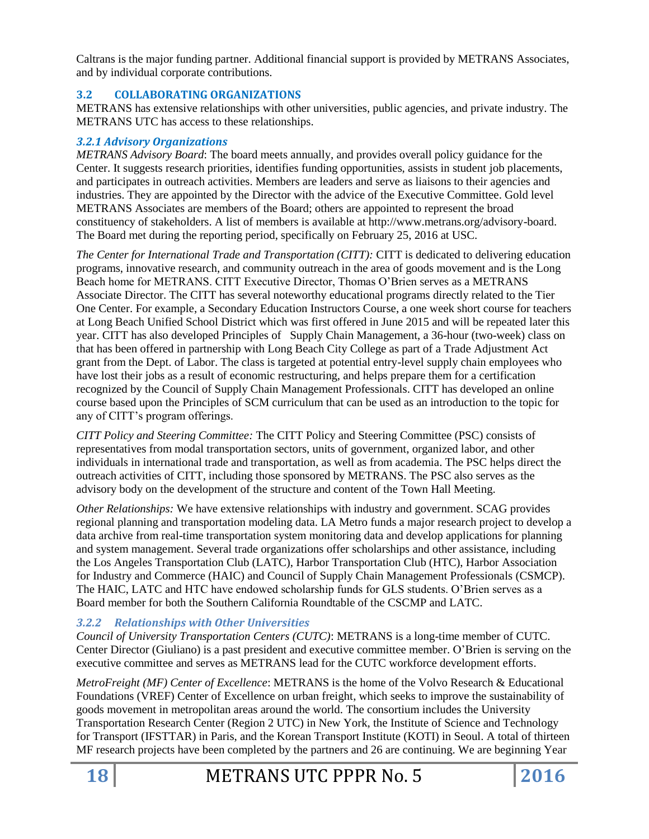Caltrans is the major funding partner. Additional financial support is provided by METRANS Associates, and by individual corporate contributions.

### **3.2 COLLABORATING ORGANIZATIONS**

METRANS has extensive relationships with other universities, public agencies, and private industry. The METRANS UTC has access to these relationships.

### *3.2.1 Advisory Organizations*

*METRANS Advisory Board*: The board meets annually, and provides overall policy guidance for the Center. It suggests research priorities, identifies funding opportunities, assists in student job placements, and participates in outreach activities. Members are leaders and serve as liaisons to their agencies and industries. They are appointed by the Director with the advice of the Executive Committee. Gold level METRANS Associates are members of the Board; others are appointed to represent the broad constituency of stakeholders. A list of members is available at http://www.metrans.org/advisory-board. The Board met during the reporting period, specifically on February 25, 2016 at USC.

*The Center for International Trade and Transportation (CITT):* CITT is dedicated to delivering education programs, innovative research, and community outreach in the area of goods movement and is the Long Beach home for METRANS. CITT Executive Director, Thomas O'Brien serves as a METRANS Associate Director. The CITT has several noteworthy educational programs directly related to the Tier One Center. For example, a Secondary Education Instructors Course, a one week short course for teachers at Long Beach Unified School District which was first offered in June 2015 and will be repeated later this year. CITT has also developed Principles of Supply Chain Management, a 36-hour (two-week) class on that has been offered in partnership with Long Beach City College as part of a Trade Adjustment Act grant from the Dept. of Labor. The class is targeted at potential entry-level supply chain employees who have lost their jobs as a result of economic restructuring, and helps prepare them for a certification recognized by the Council of Supply Chain Management Professionals. CITT has developed an online course based upon the Principles of SCM curriculum that can be used as an introduction to the topic for any of CITT's program offerings.

*CITT Policy and Steering Committee:* The CITT Policy and Steering Committee (PSC) consists of representatives from modal transportation sectors, units of government, organized labor, and other individuals in international trade and transportation, as well as from academia. The PSC helps direct the outreach activities of CITT, including those sponsored by METRANS. The PSC also serves as the advisory body on the development of the structure and content of the Town Hall Meeting.

*Other Relationships:* We have extensive relationships with industry and government. SCAG provides regional planning and transportation modeling data. LA Metro funds a major research project to develop a data archive from real-time transportation system monitoring data and develop applications for planning and system management. Several trade organizations offer scholarships and other assistance, including the Los Angeles Transportation Club (LATC), Harbor Transportation Club (HTC), Harbor Association for Industry and Commerce (HAIC) and Council of Supply Chain Management Professionals (CSMCP). The HAIC, LATC and HTC have endowed scholarship funds for GLS students. O'Brien serves as a Board member for both the Southern California Roundtable of the CSCMP and LATC.

## *3.2.2 Relationships with Other Universities*

*Council of University Transportation Centers (CUTC)*: METRANS is a long-time member of CUTC. Center Director (Giuliano) is a past president and executive committee member. O'Brien is serving on the executive committee and serves as METRANS lead for the CUTC workforce development efforts.

*MetroFreight (MF) Center of Excellence*: METRANS is the home of the Volvo Research & Educational Foundations (VREF) Center of Excellence on urban freight, which seeks to improve the sustainability of goods movement in metropolitan areas around the world. The consortium includes the University Transportation Research Center (Region 2 UTC) in New York, the Institute of Science and Technology for Transport (IFSTTAR) in Paris, and the Korean Transport Institute (KOTI) in Seoul. A total of thirteen MF research projects have been completed by the partners and 26 are continuing. We are beginning Year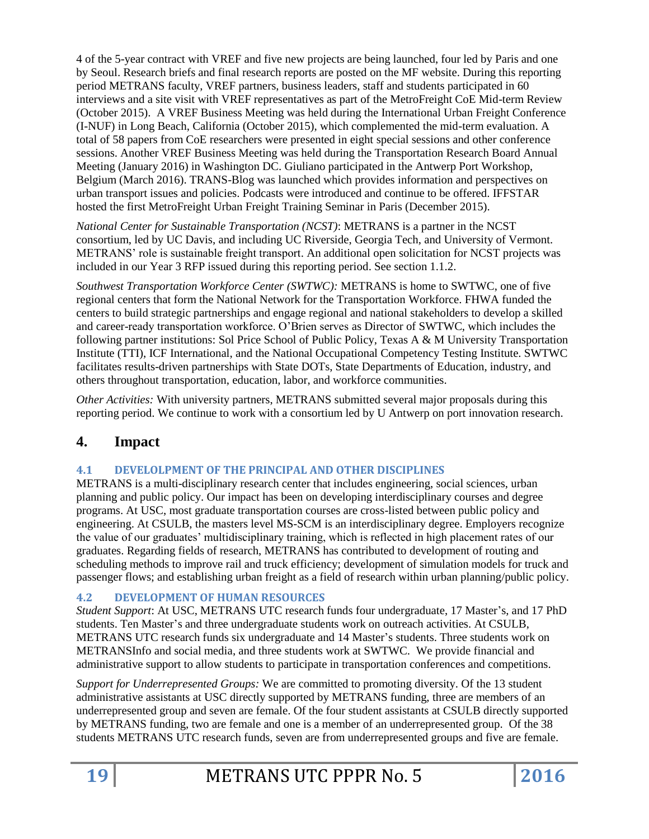4 of the 5-year contract with VREF and five new projects are being launched, four led by Paris and one by Seoul. Research briefs and final research reports are posted on the MF website. During this reporting period METRANS faculty, VREF partners, business leaders, staff and students participated in 60 interviews and a site visit with VREF representatives as part of the MetroFreight CoE Mid-term Review (October 2015). A VREF Business Meeting was held during the International Urban Freight Conference (I-NUF) in Long Beach, California (October 2015), which complemented the mid-term evaluation. A total of 58 papers from CoE researchers were presented in eight special sessions and other conference sessions. Another VREF Business Meeting was held during the Transportation Research Board Annual Meeting (January 2016) in Washington DC. Giuliano participated in the Antwerp Port Workshop, Belgium (March 2016). TRANS-Blog was launched which provides information and perspectives on urban transport issues and policies. Podcasts were introduced and continue to be offered. IFFSTAR hosted the first MetroFreight Urban Freight Training Seminar in Paris (December 2015).

*National Center for Sustainable Transportation (NCST)*: METRANS is a partner in the NCST consortium, led by UC Davis, and including UC Riverside, Georgia Tech, and University of Vermont. METRANS' role is sustainable freight transport. An additional open solicitation for NCST projects was included in our Year 3 RFP issued during this reporting period. See section 1.1.2.

*Southwest Transportation Workforce Center (SWTWC):* METRANS is home to SWTWC, one of five regional centers that form the National Network for the Transportation Workforce. FHWA funded the centers to build strategic partnerships and engage regional and national stakeholders to develop a skilled and career-ready transportation workforce. O'Brien serves as Director of SWTWC, which includes the following partner institutions: Sol Price School of Public Policy, Texas A & M University Transportation Institute (TTI), ICF International, and the National Occupational Competency Testing Institute. SWTWC facilitates results-driven partnerships with State DOTs, State Departments of Education, industry, and others throughout transportation, education, labor, and workforce communities.

*Other Activities:* With university partners, METRANS submitted several major proposals during this reporting period. We continue to work with a consortium led by U Antwerp on port innovation research.

# **4. Impact**

## **4.1 DEVELOLPMENT OF THE PRINCIPAL AND OTHER DISCIPLINES**

METRANS is a multi-disciplinary research center that includes engineering, social sciences, urban planning and public policy. Our impact has been on developing interdisciplinary courses and degree programs. At USC, most graduate transportation courses are cross-listed between public policy and engineering. At CSULB, the masters level MS-SCM is an interdisciplinary degree. Employers recognize the value of our graduates' multidisciplinary training, which is reflected in high placement rates of our graduates. Regarding fields of research, METRANS has contributed to development of routing and scheduling methods to improve rail and truck efficiency; development of simulation models for truck and passenger flows; and establishing urban freight as a field of research within urban planning/public policy.

## **4.2 DEVELOPMENT OF HUMAN RESOURCES**

*Student Support*: At USC, METRANS UTC research funds four undergraduate, 17 Master's, and 17 PhD students. Ten Master's and three undergraduate students work on outreach activities. At CSULB, METRANS UTC research funds six undergraduate and 14 Master's students. Three students work on METRANSInfo and social media, and three students work at SWTWC. We provide financial and administrative support to allow students to participate in transportation conferences and competitions.

*Support for Underrepresented Groups:* We are committed to promoting diversity. Of the 13 student administrative assistants at USC directly supported by METRANS funding, three are members of an underrepresented group and seven are female. Of the four student assistants at CSULB directly supported by METRANS funding, two are female and one is a member of an underrepresented group. Of the 38 students METRANS UTC research funds, seven are from underrepresented groups and five are female.